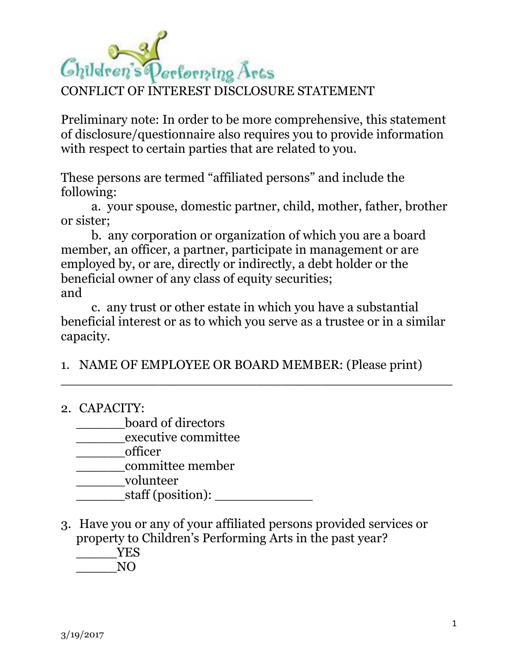## Children's Performing Arts CONFLICT OF INTEREST DISCLOSURE STATEMENT

Preliminary note: In order to be more comprehensive, this statement of disclosure/questionnaire also requires you to provide information with respect to certain parties that are related to you.

These persons are termed "affiliated persons" and include the following:

a. your spouse, domestic partner, child, mother, father, brother or sister;

b. any corporation or organization of which you are a board member, an officer, a partner, participate in management or are employed by, or are, directly or indirectly, a debt holder or the beneficial owner of any class of equity securities; and

c. any trust or other estate in which you have a substantial beneficial interest or as to which you serve as a trustee or in a similar capacity.

 $\_$  . The contract of the contract of the contract of the contract of the contract of the contract of the contract of the contract of the contract of the contract of the contract of the contract of the contract of the con

1. NAME OF EMPLOYEE OR BOARD MEMBER: (Please print)

## 2. CAPACITY:

\_\_\_\_\_\_board of directors

\_\_\_\_\_\_executive committee

\_\_\_\_\_\_officer

\_\_\_\_\_\_committee member

\_\_\_\_\_\_volunteer

\_\_\_\_\_\_staff (position): \_\_\_\_\_\_\_\_\_\_\_\_

3. Have you or any of your affiliated persons provided services or property to Children's Performing Arts in the past year? \_\_\_\_\_YES

\_\_\_\_\_NO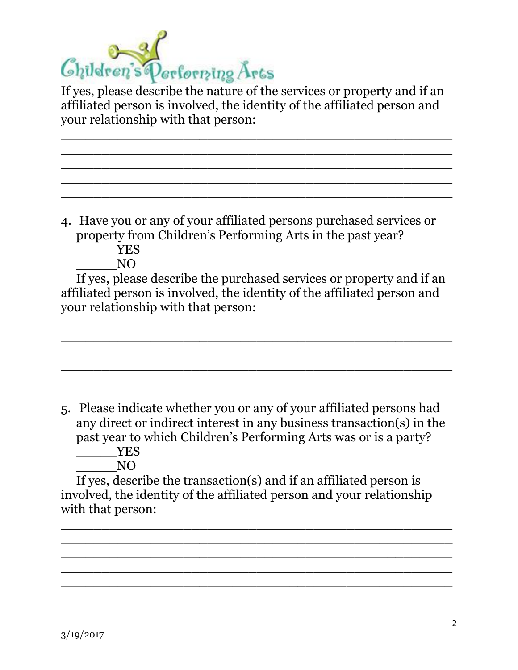

If yes, please describe the nature of the services or property and if an affiliated person is involved, the identity of the affiliated person and your relationship with that person:

\_\_\_\_\_\_\_\_\_\_\_\_\_\_\_\_\_\_\_\_\_\_\_\_\_\_\_\_\_\_\_\_\_\_\_\_\_\_\_\_\_\_\_\_\_\_\_\_ \_\_\_\_\_\_\_\_\_\_\_\_\_\_\_\_\_\_\_\_\_\_\_\_\_\_\_\_\_\_\_\_\_\_\_\_\_\_\_\_\_\_\_\_\_\_\_\_ \_\_\_\_\_\_\_\_\_\_\_\_\_\_\_\_\_\_\_\_\_\_\_\_\_\_\_\_\_\_\_\_\_\_\_\_\_\_\_\_\_\_\_\_\_\_\_\_ \_\_\_\_\_\_\_\_\_\_\_\_\_\_\_\_\_\_\_\_\_\_\_\_\_\_\_\_\_\_\_\_\_\_\_\_\_\_\_\_\_\_\_\_\_\_\_\_ \_\_\_\_\_\_\_\_\_\_\_\_\_\_\_\_\_\_\_\_\_\_\_\_\_\_\_\_\_\_\_\_\_\_\_\_\_\_\_\_\_\_\_\_\_\_\_\_

4. Have you or any of your affiliated persons purchased services or property from Children's Performing Arts in the past year? \_\_\_\_\_YES

 $\overline{N}$ 

If yes, please describe the purchased services or property and if an affiliated person is involved, the identity of the affiliated person and your relationship with that person:

\_\_\_\_\_\_\_\_\_\_\_\_\_\_\_\_\_\_\_\_\_\_\_\_\_\_\_\_\_\_\_\_\_\_\_\_\_\_\_\_\_\_\_\_\_\_\_\_ \_\_\_\_\_\_\_\_\_\_\_\_\_\_\_\_\_\_\_\_\_\_\_\_\_\_\_\_\_\_\_\_\_\_\_\_\_\_\_\_\_\_\_\_\_\_\_\_ \_\_\_\_\_\_\_\_\_\_\_\_\_\_\_\_\_\_\_\_\_\_\_\_\_\_\_\_\_\_\_\_\_\_\_\_\_\_\_\_\_\_\_\_\_\_\_\_ \_\_\_\_\_\_\_\_\_\_\_\_\_\_\_\_\_\_\_\_\_\_\_\_\_\_\_\_\_\_\_\_\_\_\_\_\_\_\_\_\_\_\_\_\_\_\_\_  $\_$  . The contract of the contract of the contract of the contract of the contract of the contract of the contract of the contract of the contract of the contract of the contract of the contract of the contract of the con

5. Please indicate whether you or any of your affiliated persons had any direct or indirect interest in any business transaction(s) in the past year to which Children's Performing Arts was or is a party? \_\_\_\_\_YES

 $\overline{N}$ O

If yes, describe the transaction(s) and if an affiliated person is involved, the identity of the affiliated person and your relationship with that person:

\_\_\_\_\_\_\_\_\_\_\_\_\_\_\_\_\_\_\_\_\_\_\_\_\_\_\_\_\_\_\_\_\_\_\_\_\_\_\_\_\_\_\_\_\_\_\_\_ \_\_\_\_\_\_\_\_\_\_\_\_\_\_\_\_\_\_\_\_\_\_\_\_\_\_\_\_\_\_\_\_\_\_\_\_\_\_\_\_\_\_\_\_\_\_\_\_ \_\_\_\_\_\_\_\_\_\_\_\_\_\_\_\_\_\_\_\_\_\_\_\_\_\_\_\_\_\_\_\_\_\_\_\_\_\_\_\_\_\_\_\_\_\_\_\_ \_\_\_\_\_\_\_\_\_\_\_\_\_\_\_\_\_\_\_\_\_\_\_\_\_\_\_\_\_\_\_\_\_\_\_\_\_\_\_\_\_\_\_\_\_\_\_\_ \_\_\_\_\_\_\_\_\_\_\_\_\_\_\_\_\_\_\_\_\_\_\_\_\_\_\_\_\_\_\_\_\_\_\_\_\_\_\_\_\_\_\_\_\_\_\_\_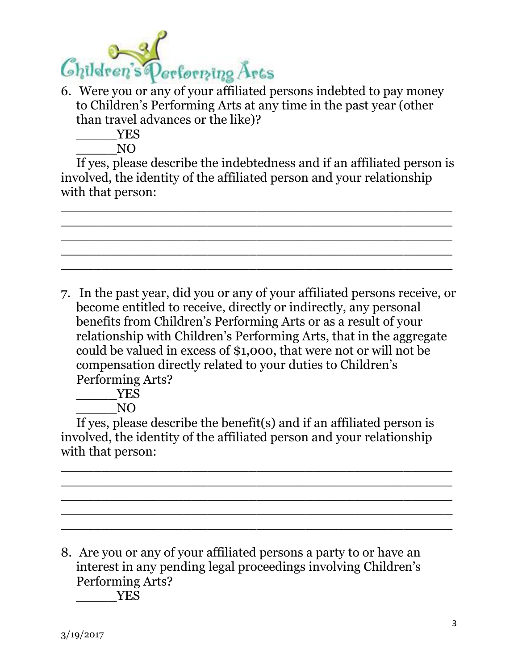

- 6. Were you or any of your affiliated persons indebted to pay money to Children's Performing Arts at any time in the past year (other than travel advances or the like)?
	- \_\_\_\_\_YES

 $\overline{N}$ O

If yes, please describe the indebtedness and if an affiliated person is involved, the identity of the affiliated person and your relationship with that person:

\_\_\_\_\_\_\_\_\_\_\_\_\_\_\_\_\_\_\_\_\_\_\_\_\_\_\_\_\_\_\_\_\_\_\_\_\_\_\_\_\_\_\_\_\_\_\_\_ \_\_\_\_\_\_\_\_\_\_\_\_\_\_\_\_\_\_\_\_\_\_\_\_\_\_\_\_\_\_\_\_\_\_\_\_\_\_\_\_\_\_\_\_\_\_\_\_ \_\_\_\_\_\_\_\_\_\_\_\_\_\_\_\_\_\_\_\_\_\_\_\_\_\_\_\_\_\_\_\_\_\_\_\_\_\_\_\_\_\_\_\_\_\_\_\_ \_\_\_\_\_\_\_\_\_\_\_\_\_\_\_\_\_\_\_\_\_\_\_\_\_\_\_\_\_\_\_\_\_\_\_\_\_\_\_\_\_\_\_\_\_\_\_\_ \_\_\_\_\_\_\_\_\_\_\_\_\_\_\_\_\_\_\_\_\_\_\_\_\_\_\_\_\_\_\_\_\_\_\_\_\_\_\_\_\_\_\_\_\_\_\_\_

7. In the past year, did you or any of your affiliated persons receive, or become entitled to receive, directly or indirectly, any personal benefits from Children's Performing Arts or as a result of your relationship with Children's Performing Arts, that in the aggregate could be valued in excess of \$1,000, that were not or will not be compensation directly related to your duties to Children's Performing Arts?

\_\_\_\_\_YES

 $\overline{N}$ 

If yes, please describe the benefit(s) and if an affiliated person is involved, the identity of the affiliated person and your relationship with that person:

\_\_\_\_\_\_\_\_\_\_\_\_\_\_\_\_\_\_\_\_\_\_\_\_\_\_\_\_\_\_\_\_\_\_\_\_\_\_\_\_\_\_\_\_\_\_\_\_ \_\_\_\_\_\_\_\_\_\_\_\_\_\_\_\_\_\_\_\_\_\_\_\_\_\_\_\_\_\_\_\_\_\_\_\_\_\_\_\_\_\_\_\_\_\_\_\_ \_\_\_\_\_\_\_\_\_\_\_\_\_\_\_\_\_\_\_\_\_\_\_\_\_\_\_\_\_\_\_\_\_\_\_\_\_\_\_\_\_\_\_\_\_\_\_\_ \_\_\_\_\_\_\_\_\_\_\_\_\_\_\_\_\_\_\_\_\_\_\_\_\_\_\_\_\_\_\_\_\_\_\_\_\_\_\_\_\_\_\_\_\_\_\_\_ \_\_\_\_\_\_\_\_\_\_\_\_\_\_\_\_\_\_\_\_\_\_\_\_\_\_\_\_\_\_\_\_\_\_\_\_\_\_\_\_\_\_\_\_\_\_\_\_

8. Are you or any of your affiliated persons a party to or have an interest in any pending legal proceedings involving Children's Performing Arts? \_\_\_\_\_YES